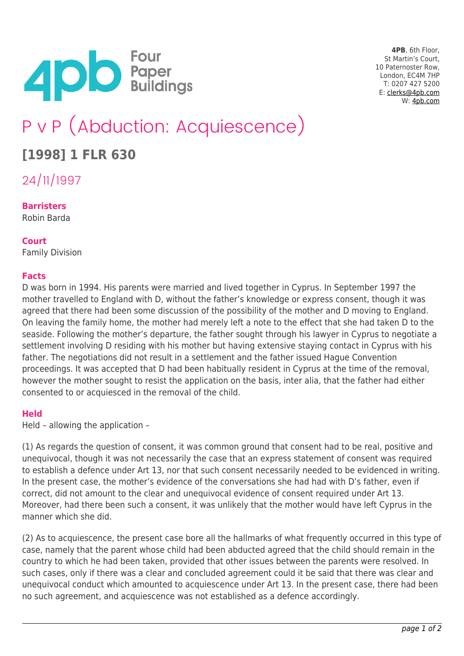

**4PB**, 6th Floor, St Martin's Court, 10 Paternoster Row, London, EC4M 7HP T: 0207 427 5200 E: [clerks@4pb.com](mailto:clerks@4pb.com) W: [4pb.com](http://4pb.com)

# P v P (Abduction: Acquiescence)

## **[1998] 1 FLR 630**

24/11/1997

### **Barristers**

Robin Barda

#### **Court**

Family Division

#### **Facts**

D was born in 1994. His parents were married and lived together in Cyprus. In September 1997 the mother travelled to England with D, without the father's knowledge or express consent, though it was agreed that there had been some discussion of the possibility of the mother and D moving to England. On leaving the family home, the mother had merely left a note to the effect that she had taken D to the seaside. Following the mother's departure, the father sought through his lawyer in Cyprus to negotiate a settlement involving D residing with his mother but having extensive staying contact in Cyprus with his father. The negotiations did not result in a settlement and the father issued Hague Convention proceedings. It was accepted that D had been habitually resident in Cyprus at the time of the removal, however the mother sought to resist the application on the basis, inter alia, that the father had either consented to or acquiesced in the removal of the child.

#### **Held**

Held – allowing the application –

(1) As regards the question of consent, it was common ground that consent had to be real, positive and unequivocal, though it was not necessarily the case that an express statement of consent was required to establish a defence under Art 13, nor that such consent necessarily needed to be evidenced in writing. In the present case, the mother's evidence of the conversations she had had with D's father, even if correct, did not amount to the clear and unequivocal evidence of consent required under Art 13. Moreover, had there been such a consent, it was unlikely that the mother would have left Cyprus in the manner which she did.

(2) As to acquiescence, the present case bore all the hallmarks of what frequently occurred in this type of case, namely that the parent whose child had been abducted agreed that the child should remain in the country to which he had been taken, provided that other issues between the parents were resolved. In such cases, only if there was a clear and concluded agreement could it be said that there was clear and unequivocal conduct which amounted to acquiescence under Art 13. In the present case, there had been no such agreement, and acquiescence was not established as a defence accordingly.